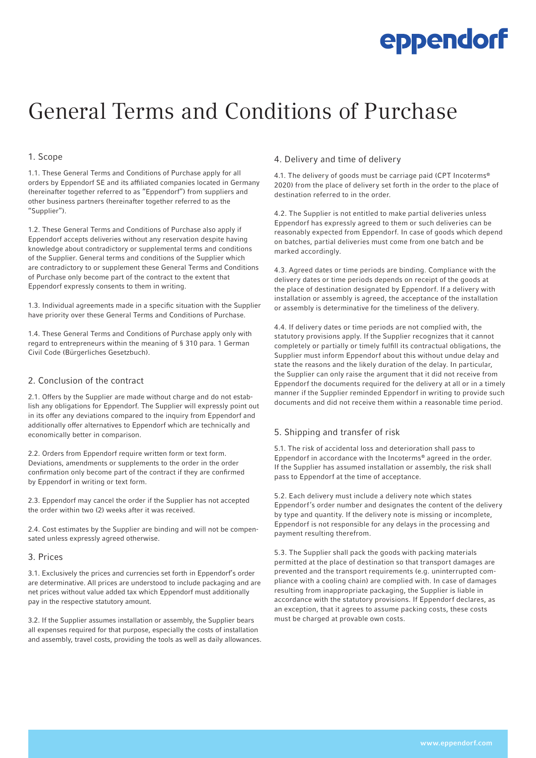# General Terms and Conditions of Purchase

#### 1. Scope

1.1. These General Terms and Conditions of Purchase apply for all orders by Eppendorf SE and its affiliated companies located in Germany (hereinafter together referred to as "Eppendorf") from suppliers and other business partners (hereinafter together referred to as the "Supplier").

1.2. These General Terms and Conditions of Purchase also apply if Eppendorf accepts deliveries without any reservation despite having knowledge about contradictory or supplemental terms and conditions of the Supplier. General terms and conditions of the Supplier which are contradictory to or supplement these General Terms and Conditions of Purchase only become part of the contract to the extent that Eppendorf expressly consents to them in writing.

1.3. Individual agreements made in a specific situation with the Supplier have priority over these General Terms and Conditions of Purchase.

1.4. These General Terms and Conditions of Purchase apply only with regard to entrepreneurs within the meaning of § 310 para. 1 German Civil Code (Bürgerliches Gesetzbuch).

### 2. Conclusion of the contract

2.1. Offers by the Supplier are made without charge and do not establish any obligations for Eppendorf. The Supplier will expressly point out in its offer any deviations compared to the inquiry from Eppendorf and additionally offer alternatives to Eppendorf which are technically and economically better in comparison.

2.2. Orders from Eppendorf require written form or text form. Deviations, amendments or supplements to the order in the order confirmation only become part of the contract if they are confirmed by Eppendorf in writing or text form.

2.3. Eppendorf may cancel the order if the Supplier has not accepted the order within two (2) weeks after it was received.

2.4. Cost estimates by the Supplier are binding and will not be compensated unless expressly agreed otherwise.

#### 3. Prices

3.1. Exclusively the prices and currencies set forth in Eppendorf's order are determinative. All prices are understood to include packaging and are net prices without value added tax which Eppendorf must additionally pay in the respective statutory amount.

3.2. If the Supplier assumes installation or assembly, the Supplier bears all expenses required for that purpose, especially the costs of installation and assembly, travel costs, providing the tools as well as daily allowances.

#### 4. Delivery and time of delivery

4.1. The delivery of goods must be carriage paid (CPT Incoterms® 2020) from the place of delivery set forth in the order to the place of destination referred to in the order.

4.2. The Supplier is not entitled to make partial deliveries unless Eppendorf has expressly agreed to them or such deliveries can be reasonably expected from Eppendorf. In case of goods which depend on batches, partial deliveries must come from one batch and be marked accordingly.

4.3. Agreed dates or time periods are binding. Compliance with the delivery dates or time periods depends on receipt of the goods at the place of destination designated by Eppendorf. If a delivery with installation or assembly is agreed, the acceptance of the installation or assembly is determinative for the timeliness of the delivery.

4.4. If delivery dates or time periods are not complied with, the statutory provisions apply. If the Supplier recognizes that it cannot completely or partially or timely fulfill its contractual obligations, the Supplier must inform Eppendorf about this without undue delay and state the reasons and the likely duration of the delay. In particular, the Supplier can only raise the argument that it did not receive from Eppendorf the documents required for the delivery at all or in a timely manner if the Supplier reminded Eppendorf in writing to provide such documents and did not receive them within a reasonable time period.

## 5. Shipping and transfer of risk

5.1. The risk of accidental loss and deterioration shall pass to Eppendorf in accordance with the Incoterms® agreed in the order. If the Supplier has assumed installation or assembly, the risk shall pass to Eppendorf at the time of acceptance.

5.2. Each delivery must include a delivery note which states Eppendorf's order number and designates the content of the delivery by type and quantity. If the delivery note is missing or incomplete, Eppendorf is not responsible for any delays in the processing and payment resulting therefrom.

5.3. The Supplier shall pack the goods with packing materials permitted at the place of destination so that transport damages are prevented and the transport requirements (e.g. uninterrupted compliance with a cooling chain) are complied with. In case of damages resulting from inappropriate packaging, the Supplier is liable in accordance with the statutory provisions. If Eppendorf declares, as an exception, that it agrees to assume packing costs, these costs must be charged at provable own costs.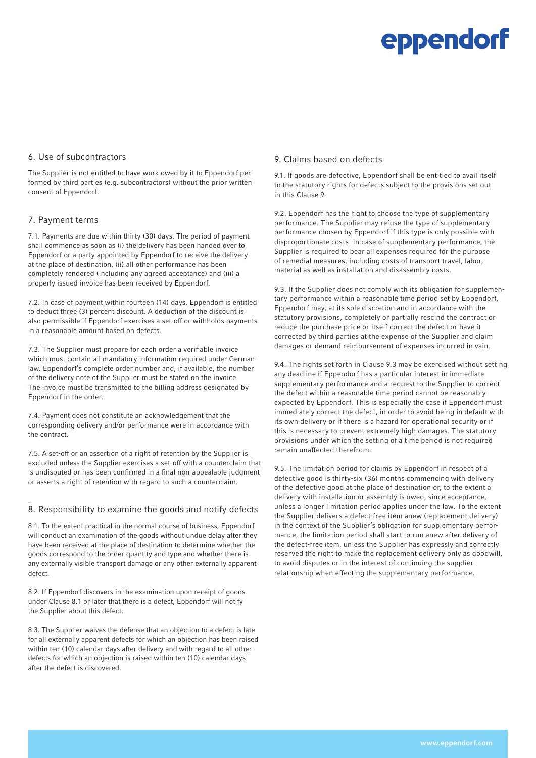#### 6. Use of subcontractors

The Supplier is not entitled to have work owed by it to Eppendorf performed by third parties (e.g. subcontractors) without the prior written consent of Eppendorf.

#### 7. Payment terms

.

7.1. Payments are due within thirty (30) days. The period of payment shall commence as soon as (i) the delivery has been handed over to Eppendorf or a party appointed by Eppendorf to receive the delivery at the place of destination, (ii) all other performance has been completely rendered (including any agreed acceptance) and (iii) a properly issued invoice has been received by Eppendorf.

7.2. In case of payment within fourteen (14) days, Eppendorf is entitled to deduct three (3) percent discount. A deduction of the discount is also permissible if Eppendorf exercises a set-off or withholds payments in a reasonable amount based on defects.

7.3. The Supplier must prepare for each order a verifiable invoice which must contain all mandatory information required under Germanlaw. Eppendorf's complete order number and, if available, the number of the delivery note of the Supplier must be stated on the invoice. The invoice must be transmitted to the billing address designated by Eppendorf in the order.

7.4. Payment does not constitute an acknowledgement that the corresponding delivery and/or performance were in accordance with the contract.

7.5. A set-off or an assertion of a right of retention by the Supplier is excluded unless the Supplier exercises a set-off with a counterclaim that is undisputed or has been confirmed in a final non-appealable judgment or asserts a right of retention with regard to such a counterclaim.

#### 8. Responsibility to examine the goods and notify defects

8.1. To the extent practical in the normal course of business, Eppendorf will conduct an examination of the goods without undue delay after they have been received at the place of destination to determine whether the goods correspond to the order quantity and type and whether there is any externally visible transport damage or any other externally apparent defect.

8.2. If Eppendorf discovers in the examination upon receipt of goods under Clause 8.1 or later that there is a defect, Eppendorf will notify the Supplier about this defect.

8.3. The Supplier waives the defense that an objection to a defect is late for all externally apparent defects for which an objection has been raised within ten (10) calendar days after delivery and with regard to all other defects for which an objection is raised within ten (10) calendar days after the defect is discovered.

#### 9. Claims based on defects

9.1. If goods are defective, Eppendorf shall be entitled to avail itself to the statutory rights for defects subject to the provisions set out in this Clause 9.

9.2. Eppendorf has the right to choose the type of supplementary performance. The Supplier may refuse the type of supplementary performance chosen by Eppendorf if this type is only possible with disproportionate costs. In case of supplementary performance, the Supplier is required to bear all expenses required for the purpose of remedial measures, including costs of transport travel, labor, material as well as installation and disassembly costs.

9.3. If the Supplier does not comply with its obligation for supplementary performance within a reasonable time period set by Eppendorf, Eppendorf may, at its sole discretion and in accordance with the statutory provisions, completely or partially rescind the contract or reduce the purchase price or itself correct the defect or have it corrected by third parties at the expense of the Supplier and claim damages or demand reimbursement of expenses incurred in vain.

9.4. The rights set forth in Clause 9.3 may be exercised without setting any deadline if Eppendorf has a particular interest in immediate supplementary performance and a request to the Supplier to correct the defect within a reasonable time period cannot be reasonably expected by Eppendorf. This is especially the case if Eppendorf must immediately correct the defect, in order to avoid being in default with its own delivery or if there is a hazard for operational security or if this is necessary to prevent extremely high damages. The statutory provisions under which the setting of a time period is not required remain unaffected therefrom.

9.5. The limitation period for claims by Eppendorf in respect of a defective good is thirty-six (36) months commencing with delivery of the defective good at the place of destination or, to the extent a delivery with installation or assembly is owed, since acceptance, unless a longer limitation period applies under the law. To the extent the Supplier delivers a defect-free item anew (replacement delivery) in the context of the Supplier's obligation for supplementary performance, the limitation period shall start to run anew after delivery of the defect-free item, unless the Supplier has expressly and correctly reserved the right to make the replacement delivery only as goodwill, to avoid disputes or in the interest of continuing the supplier relationship when effecting the supplementary performance.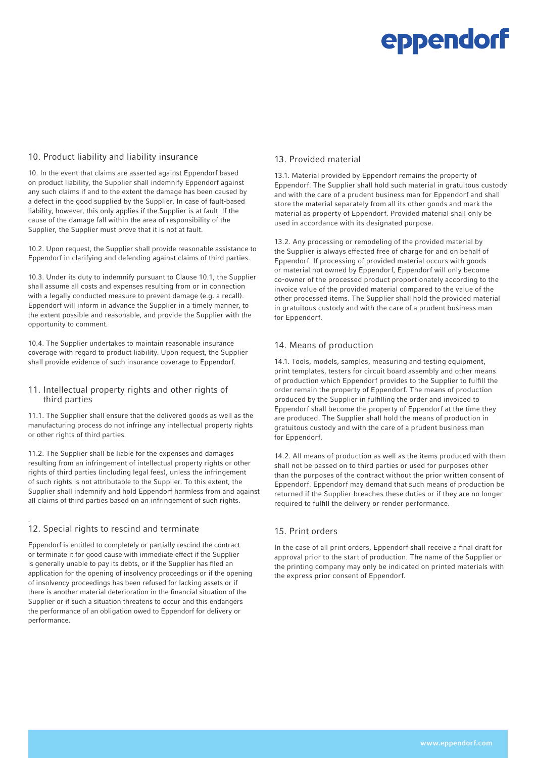#### 10. Product liability and liability insurance

10. In the event that claims are asserted against Eppendorf based on product liability, the Supplier shall indemnify Eppendorf against any such claims if and to the extent the damage has been caused by a defect in the good supplied by the Supplier. In case of fault-based liability, however, this only applies if the Supplier is at fault. If the cause of the damage fall within the area of responsibility of the Supplier, the Supplier must prove that it is not at fault.

10.2. Upon request, the Supplier shall provide reasonable assistance to Eppendorf in clarifying and defending against claims of third parties.

10.3. Under its duty to indemnify pursuant to Clause 10.1, the Supplier shall assume all costs and expenses resulting from or in connection with a legally conducted measure to prevent damage (e.g. a recall). Eppendorf will inform in advance the Supplier in a timely manner, to the extent possible and reasonable, and provide the Supplier with the opportunity to comment.

10.4. The Supplier undertakes to maintain reasonable insurance coverage with regard to product liability. Upon request, the Supplier shall provide evidence of such insurance coverage to Eppendorf.

#### 11. Intellectual property rights and other rights of third parties

11.1. The Supplier shall ensure that the delivered goods as well as the manufacturing process do not infringe any intellectual property rights or other rights of third parties.

11.2. The Supplier shall be liable for the expenses and damages resulting from an infringement of intellectual property rights or other rights of third parties (including legal fees), unless the infringement of such rights is not attributable to the Supplier. To this extent, the Supplier shall indemnify and hold Eppendorf harmless from and against all claims of third parties based on an infringement of such rights.

#### . 12. Special rights to rescind and terminate

Eppendorf is entitled to completely or partially rescind the contract or terminate it for good cause with immediate effect if the Supplier is generally unable to pay its debts, or if the Supplier has filed an application for the opening of insolvency proceedings or if the opening of insolvency proceedings has been refused for lacking assets or if there is another material deterioration in the financial situation of the Supplier or if such a situation threatens to occur and this endangers the performance of an obligation owed to Eppendorf for delivery or performance.

### 13. Provided material

13.1. Material provided by Eppendorf remains the property of Eppendorf. The Supplier shall hold such material in gratuitous custody and with the care of a prudent business man for Eppendorf and shall store the material separately from all its other goods and mark the material as property of Eppendorf. Provided material shall only be used in accordance with its designated purpose.

13.2. Any processing or remodeling of the provided material by the Supplier is always effected free of charge for and on behalf of Eppendorf. If processing of provided material occurs with goods or material not owned by Eppendorf, Eppendorf will only become co-owner of the processed product proportionately according to the invoice value of the provided material compared to the value of the other processed items. The Supplier shall hold the provided material in gratuitous custody and with the care of a prudent business man for Eppendorf.

### 14. Means of production

14.1. Tools, models, samples, measuring and testing equipment, print templates, testers for circuit board assembly and other means of production which Eppendorf provides to the Supplier to fulfill the order remain the property of Eppendorf. The means of production produced by the Supplier in fulfilling the order and invoiced to Eppendorf shall become the property of Eppendorf at the time they are produced. The Supplier shall hold the means of production in gratuitous custody and with the care of a prudent business man for Eppendorf.

14.2. All means of production as well as the items produced with them shall not be passed on to third parties or used for purposes other than the purposes of the contract without the prior written consent of Eppendorf. Eppendorf may demand that such means of production be returned if the Supplier breaches these duties or if they are no longer required to fulfill the delivery or render performance.

### 15. Print orders

In the case of all print orders, Eppendorf shall receive a final draft for approval prior to the start of production. The name of the Supplier or the printing company may only be indicated on printed materials with the express prior consent of Eppendorf.